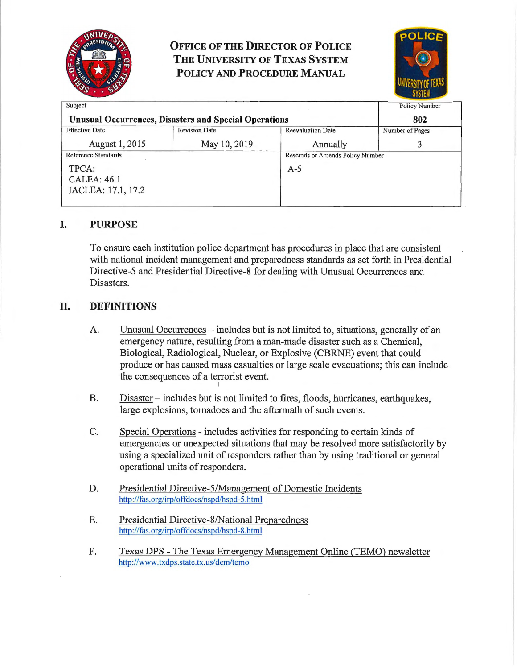

# **OFFICE OF THE DIRECTOR OF POLICE THE UNIVERSITY OF TEXAS SYSTEM POLICY AND PROCEDURE MANUAL**



| Subject                                                      |                      |                                  | <b>Policy Number</b> |
|--------------------------------------------------------------|----------------------|----------------------------------|----------------------|
| <b>Unusual Occurrences, Disasters and Special Operations</b> |                      |                                  | 802                  |
| <b>Effective Date</b>                                        | <b>Revision Date</b> | <b>Reevaluation Date</b>         | Number of Pages      |
| August 1, 2015                                               | May 10, 2019         | Annually                         |                      |
| Reference Standards                                          |                      | Rescinds or Amends Policy Number |                      |
| TPCA:                                                        |                      | $A-5$                            |                      |
| <b>CALEA: 46.1</b>                                           |                      |                                  |                      |
| IACLEA: 17.1, 17.2                                           |                      |                                  |                      |
|                                                              |                      |                                  |                      |

### **I. PURPOSE**

To ensure each institution police department has procedures in place that are consistent with national incident management and preparedness standards as set forth in Presidential Directive-5 and Presidential Directive-8 for dealing with Unusual Occurrences and Disasters.

#### **II. DEFINITIONS**

- A. Unusual Occurrences includes but is not limited to, situations, generally of an emergency nature, resulting from a man-made disaster such as a Chemical, Biological, Radiological, Nuclear, or Explosive (CBRNE) event that could produce or has caused mass casualties or large scale evacuations; this can include the consequences of a terrorist event.
- B. Disaster includes but is not limited to fires, floods, hurricanes, earthquakes, large explosions, tornadoes and the aftermath of such events.
- C. Special Operations includes activities for responding to certain kinds of emergencies or unexpected situations that may be resolved more satisfactorily by using a specialized unit of responders rather than by using traditional or general operational units of responders.
- D. Presidential Directive-5/Management of Domestic Incidents http://fas.org/irp/offdocs/nspd/hspd-5.html
- E. Presidential Directive-8/National Preparedness http://fas.org/irp/offdocs/nspd/hspd-8.html
- F. Texas DPS -The Texas Emergency Management Online (TEMO) newsletter http://www. txdps.state.tx. us/dem/temo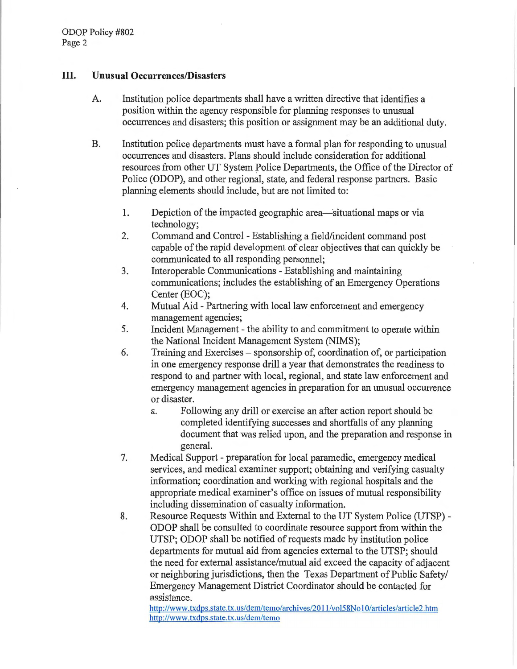#### **III. Unusual Occurrences/Disasters**

- A. Institution police departments shall have a written directive that identifies a position within the agency responsible for planning responses to unusual occurrences and disasters; this position or assignment may be an additional duty.
- B. Institution police departments must have a formal plan for responding to unusual occunences and disasters. Plans should include consideration for additional resources from other UT System Police Departments, the Office of the Director of Police (ODOP), and other regional, state, and federal response partners. Basic planning elements should include, but are not limited to:
	- 1. Depiction of the impacted geographic area—situational maps or via technology;
	- 2. Command and Control Establishing a field/incident command post capable of the rapid development of clear objectives that can quickly be communicated to all responding personnel;
	- 3. Interoperable Communications Establishing and maintaining communications; includes the establishing of an Emergency Operations Center (EOC);
	- 4. Mutual Aid Partnering with local law enforcement and emergency management agencies;
	- 5. Incident Management the ability to and commitment to operate within the National Incident Management System (NIMS);
	- 6. Training and Exercises sponsorship of, coordination of, or participation in one emergency response drill a year that demonstrates the readiness to respond to and partner with local, regional, and state law enforcement and emergency management agencies in preparation for an unusual occurrence or disaster.
		- a. Following any drill or exercise an after action report should be completed identifying successes and shortfalls of any planning document that was relied upon, and the preparation and response in general.
	- 7. Medical Support preparation for local paramedic, emergency medical services, and medical examiner support; obtaining and verifying casualty information; coordination and working with regional hospitals and the appropriate medical examiner's office on issues of mutual responsibility including dissemination of casualty information.
	- 8. Resource Requests Within and External to the UT System Police (UTSP) ODOP shall be consulted to coordinate resource support from within the UTSP; ODOP shall be notified of requests made by institution police departments for mutual aid from agencies external to the UTSP; should the need for external assistance/mutual aid exceed the capacity of adjacent or neighboring jurisdictions, then the Texas Department of Public Safety/ Emergency Management District Coordinator should be contacted for assistance.

http://www.txdps.state.tx.us/dem/temo/archives/2011/vol58No I 0/articles/article2.htm http://www.txdps.state.tx.us/dem/temo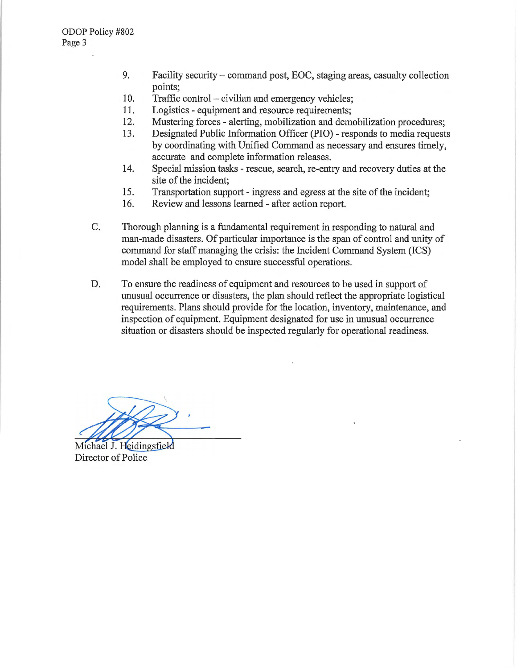- 9. Facility security- command post, EOC, staging areas, casualty collection points;
- 10. Traffic control- civilian and emergency vehicles;
- 11. Logistics equipment and resource requirements;
- 12. Mustering forces alerting, mobilization and demobilization procedures;
- 13. Designated Public Information Officer (PIO) responds to media requests by coordinating with Unified Command as necessary and ensures timely, accurate and complete information releases.
- 14. Special mission tasks rescue, search, re-entry and recovery duties at the site of the incident;
- 15. Transportation support ingress and egress at the site of the incident;
- 16. Review and lessons learned after action report.
- C. Thorough planning is a fundamental requirement in responding to natural and man-made disasters. Of particular importance is the span of control and unity of command for staff managing the crisis: the Incident Command System (ICS) model shall be employed to ensure successful operations.
- D. To ensure the readiness of equipment and resources to be used in support of unusual occurrence or disasters, the plan should reflect the appropriate logistical requirements. Plans should provide for the location, inventory, maintenance, and inspection of equipment. Equipment designated for use in unusual occurrence situation or disasters should be inspected regularly for operational readiness.

Michael J. Heidingsfield

Director of Police